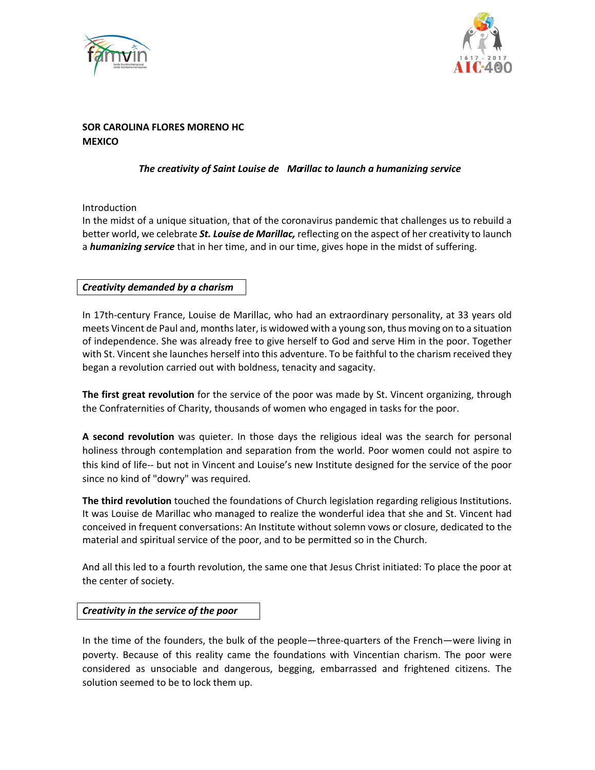



# **SOR CAROLINA FLORES MORENO HC MEXICO**

## *The creativity of Saint Louise de Marillac to launch a humanizing service*

Introduction

In the midst of a unique situation, that of the coronavirus pandemic that challenges us to rebuild a better world, we celebrate *St. Louise de Marillac,* reflecting on the aspect of her creativity to launch a *humanizing service* that in her time, and in our time, gives hope in the midst of suffering.

### *Creativity demanded by a charism*

In 17th-century France, Louise de Marillac, who had an extraordinary personality, at 33 years old meets Vincent de Paul and, months later, is widowed with a young son, thus moving on to a situation of independence. She was already free to give herself to God and serve Him in the poor. Together with St. Vincent she launches herself into this adventure. To be faithful to the charism received they began a revolution carried out with boldness, tenacity and sagacity.

**The first great revolution** for the service of the poor was made by St. Vincent organizing, through the Confraternities of Charity, thousands of women who engaged in tasks for the poor.

**A second revolution** was quieter. In those days the religious ideal was the search for personal holiness through contemplation and separation from the world. Poor women could not aspire to this kind of life-- but not in Vincent and Louise's new Institute designed for the service of the poor since no kind of "dowry" was required.

**The third revolution** touched the foundations of Church legislation regarding religious Institutions. It was Louise de Marillac who managed to realize the wonderful idea that she and St. Vincent had conceived in frequent conversations: An Institute without solemn vows or closure, dedicated to the material and spiritual service of the poor, and to be permitted so in the Church.

And all this led to a fourth revolution, the same one that Jesus Christ initiated: To place the poor at the center of society.

#### *Creativity in the service of the poor*

In the time of the founders, the bulk of the people—three-quarters of the French—were living in poverty. Because of this reality came the foundations with Vincentian charism. The poor were considered as unsociable and dangerous, begging, embarrassed and frightened citizens. The solution seemed to be to lock them up.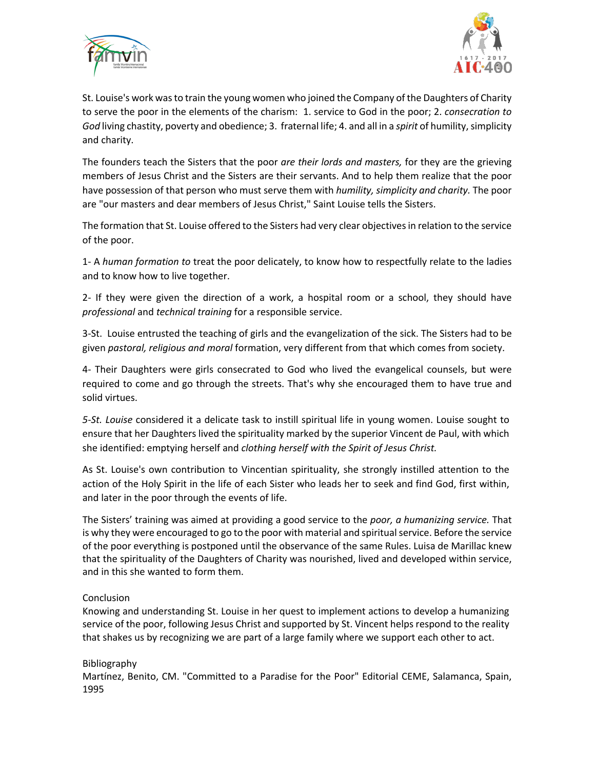



St. Louise's work was to train the young women who joined the Company of the Daughters of Charity to serve the poor in the elements of the charism: 1. service to God in the poor; 2. *consecration to God* living chastity, poverty and obedience; 3. fraternal life; 4. and all in a *spirit* of humility, simplicity and charity.

The founders teach the Sisters that the poor *are their lords and masters,* for they are the grieving members of Jesus Christ and the Sisters are their servants. And to help them realize that the poor have possession of that person who must serve them with *humility, simplicity and charity.* The poor are "our masters and dear members of Jesus Christ," Saint Louise tells the Sisters.

The formation that St. Louise offered to the Sisters had very clear objectives in relation to the service of the poor.

1- A *human formation to* treat the poor delicately, to know how to respectfully relate to the ladies and to know how to live together.

2- If they were given the direction of a work, a hospital room or a school, they should have *professional* and *technical training* for a responsible service.

3-St. Louise entrusted the teaching of girls and the evangelization of the sick. The Sisters had to be given *pastoral, religious and moral* formation, very different from that which comes from society.

4- Their Daughters were girls consecrated to God who lived the evangelical counsels, but were required to come and go through the streets. That's why she encouraged them to have true and solid virtues.

*5-St. Louise* considered it a delicate task to instill spiritual life in young women. Louise sought to ensure that her Daughters lived the spirituality marked by the superior Vincent de Paul, with which she identified: emptying herself and *clothing herself with the Spirit of Jesus Christ.*

As St. Louise's own contribution to Vincentian spirituality, she strongly instilled attention to the action of the Holy Spirit in the life of each Sister who leads her to seek and find God, first within, and later in the poor through the events of life.

The Sisters' training was aimed at providing a good service to the *poor, a humanizing service.* That is why they were encouraged to go to the poor with material and spiritual service. Before the service of the poor everything is postponed until the observance of the same Rules. Luisa de Marillac knew that the spirituality of the Daughters of Charity was nourished, lived and developed within service, and in this she wanted to form them.

#### Conclusion

Knowing and understanding St. Louise in her quest to implement actions to develop a humanizing service of the poor, following Jesus Christ and supported by St. Vincent helps respond to the reality that shakes us by recognizing we are part of a large family where we support each other to act.

#### Bibliography

Martínez, Benito, CM. "Committed to a Paradise for the Poor" Editorial CEME, Salamanca, Spain, 1995